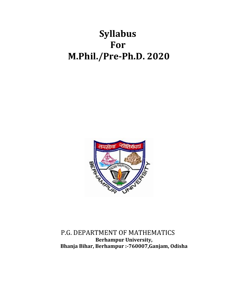# **Syllabus For M.Phil./Pre-Ph.D. 2020**



P.G. DEPARTMENT OF MATHEMATICS **Berhampur University, Bhanja Bihar, Berhampur :-760007,Ganjam, Odisha**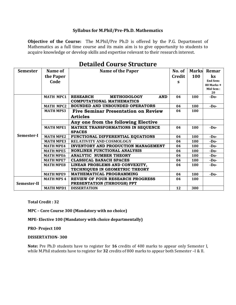#### **Syllabus for M.Phil/Pre-Ph.D. Mathematics**

**Objective of the Course:** The M.Phil/Pre Ph.D is offered by the P.G. Department of Mathematics as a full time course and its main aim is to give opportunity to students to acquire knowledge or develop skills and expertise relevant to their research interest.

| <b>Semester</b> | Name of           | <b>Name of the Paper</b>                            | No. of        | <b>Marks</b> | Remar           |
|-----------------|-------------------|-----------------------------------------------------|---------------|--------------|-----------------|
|                 | the Paper         |                                                     | <b>Credit</b> | <b>100</b>   | $\mathbf{k}$ s  |
|                 | Code              |                                                     | S             |              | <b>End Sem:</b> |
|                 |                   |                                                     |               |              | 80 Marks +      |
|                 |                   |                                                     |               |              | Mid Sem:<br>20  |
|                 | <b>MATH MPC1</b>  | <b>RESEARCH</b><br><b>METHODOLOGY</b><br><b>AND</b> | 04            | 100          | $-D0$           |
| Semester-I      |                   | <b>COMPUTATIONAL MATHEMATICS</b>                    |               |              |                 |
|                 | <b>MATH MPC2</b>  | BOUNDED AND UNBOUNDED OPERATORS                     | 04            | 100          | $-D0$           |
|                 | <b>MATH MPS3</b>  | <b>Five Seminar Presentation on Review</b>          | 04            | 100          |                 |
|                 |                   | <b>Articles</b>                                     |               |              |                 |
|                 |                   | Any one from the following Elective                 |               |              |                 |
|                 | <b>MATH MPE1</b>  | <b>MATRIX TRANSFORMATIONS IN SEQUENCE</b>           | 04            | 100          | $-D0$           |
|                 |                   | <b>SPACES</b>                                       |               |              |                 |
|                 | <b>MATH MPE2</b>  | FUNCTIONAL DIFFERENTIAL EQUATIONS                   | 04            | 100          | $-D0$           |
|                 | <b>MATH MPE3</b>  | RELATIVITY AND COSMOLOGY                            | 04            | 100          | $-D0$           |
|                 | <b>MATH MPE4</b>  | <b>INVENTORY AND PRODUCTION MANAGEMENT</b>          | 04            | 100          | $-D0$           |
|                 | <b>MATH MPE5</b>  | <b>NONLINER FUNCTIONAL ANALYSIS</b>                 | 04            | 100          | $-D0$           |
|                 | <b>MATH MPE6</b>  | <b>ANALYTIC NUMBER THEORY</b>                       | 04            | 100          | $-D0$           |
|                 | <b>MATH MPE7</b>  | <b>CLASSICAL BANACH SPACES</b>                      | 04            | 100          | $-D0$           |
|                 | <b>MATH MPE8</b>  | LINEAR PROBLEMS AND CONVEXITY,                      | 04            | 100          | $-D0$           |
|                 |                   | TECHNIQUES IN GEOMETRIC THEORY                      |               |              |                 |
|                 | <b>MATH MPE9</b>  | MATHEMATICAL PROGRAMMING                            | 04            | 100          | $-D0$           |
| Semester-II     | <b>MATH MPS 4</b> | REVIEW OF FOUR RESEARCH PROGRESS                    | 04            | 100          |                 |
|                 |                   | PRESENTATION (THROUGH) PPT                          |               |              |                 |
|                 | <b>MATH MPD1</b>  | <b>DISSERTATION</b>                                 | 12            | 300          |                 |

## **Detailed Course Structure**

#### **Total Credit : 32**

**MPC – Core Course 300 (Mandatory with no choice)**

**MPE- Elective 100 (Mandatory with choice departmentally)**

**PRO- Project 100**

#### **DISSERTATION- 300**

**Note:** Pre Ph.D students have to register for **16** credits of 400 marks to appear only Semester I, while M.Phil students have to register for **32** credits of 800 marks to appear both Semester –I & II.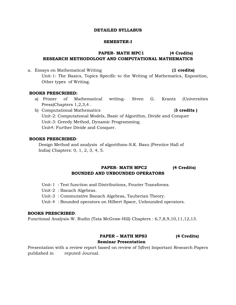#### **DETAILED SYLLABUS**

#### **SEMESTER-I**

## **PAPER- MATH MPC1 (4 Credits) RESEARCH METHODOLOGY AND COMPUTATIONAL MATHEMATICS**

a. Essays on Mathematical Writing **(1 credits)** Unit-1: The Basics, Topics Specific to the Writing of Mathematics, Exposition, Other types of Writing.

#### **BOOKS PRESCRIBED:**

- a) Primer of Mathematical writing- Stven G. Krantz (Universities Press)Chapters 1,2,3,4 .
- b) Computational Mathematics (**3 credits )**  Unit-2: Computational Models, Basic of Algorithm, Divide and Conquer Unit-3: Greedy Method, Dynamic Programming. Unit4: Further Divide and Conquer.

#### **BOOKS PRESCRIBED**:

 Design Method and analysis of algorithms-S.K. Basu (Prentice Hall of India) Chapters: 0, 1, 2, 3, 4, 5.

## **PAPER- MATH MPC2 (4 Credits) BOUNDED AND UNBOUNDED OPERATORS**

- Unit-1 : Test function and Distributions, Fourier Transforms.
- Unit-2 : Banach Algebras.
- Unit-3 : Commutative Banach Algebras, Tauberian Theory.
- Unit-4 : Bounded operators on Hilbert Space, Unbounded operators.

#### **BOOKS PRESCRIBED**:

Functional Analysis-W. Rudin (Tata McGraw-Hill) Chapters : 6,7,8,9,10,11,12,13.

## **PAPER – MATH MPS3 (4 Credits) Seminar Presentation**

Presentation with a review report based on review of 5(five) Important Research Papers published in reputed Journal.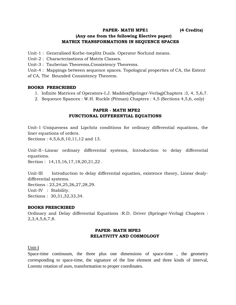**PAPER- MATH MPE1 (4 Credits)** 

## **(Any one from the following Elective paper) MATRIX TRANSFORMATIONS IN SEQUENCE SPACES**

Unit-1 : Generalised Korhe-toeplitz Duals. Operator Norlund means.

Unit-2 : Characterizations of Matrix Classes.

Unit-3 : Tauberian Theorems,Consistency Theorems.

Unit-4 : Mappings between sequence spaces. Topological properties of CA, the Extent of CA, The Bounded Consistency Theorem.

#### **BOOKS PRESCRIBED**

- 1. Infinite Matrices of Operators-I.J. Maddox(Springer-Verlag)Chapters :3, 4, 5,6,7.
- 2. Sequence Spances : W.H. Ruckle (Pitman) Chapters : 4,5 (Sections 4,5,6, only)

#### **PAPER - MATH MPE2 FUNCTIONAL DIFFERENTIAL EQUATIONS**

Unit-1-Uniqueness and Lipchitz conditions for ordinary differential equations, the liner equations of orders.

Sections : 4,5,6,8,10,11,12 and 13.

Unit-II--Linear ordinary differential systems, Introduction to delay differential equations.

Section : 14, 15, 16, 17, 18, 20, 21, 22.

Unit-III Introduction to delay differential equation, existence theory, Linear dealydifferential systems. Sections : 23,24,25,26,27,28,29. Unit-IV : Stability. Sections : 30,31,32,33,34.

#### **BOOKS PRESCRIBED**

Ordinary and Delay differential Equations :R.D. Driver (Springer-Verlag) Chapters : 2,3,4,5,6,7,8.

## **PAPER- MATH MPE3 RELATIVITY AND COSMOLOGY**

#### Unit-I

Space-time continuum, the three plus one dimensions of space-time , the geometry corresponding to space-time, the signature of the line element and three kinds of interval, Lorentz rotation of axes, transformation to proper coordinates.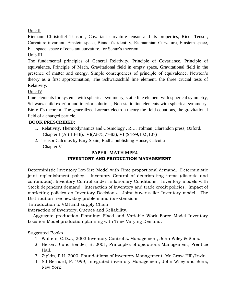Unit-II

Riemann Christoffel Tensor , Covariant curvature tensor and its properties, Ricci Tensor, Curvature invariant, Einstein space, Bianchi's identity, Riemannian Curvature, Einstein space, Flat space, space of constant curvature, for Schur's theorem.

## Unit-III

The fundamental principles of General Relativity, Principle of Covariance, Principle of equivalence, Principle of Mach, Gravitational field in empty space, Gravitational field in the presence of matter and energy, Simple consequences of principle of equivalence, Newton's theory as a first approximation, The Schwarzschild line element, the three crucial tests of Relativity.

## Unit-IV

Line elements for systems with spherical symmetry, static line element with spherical symmetry, Schwarzschild exterior and interior solutions, Non-static line elements with spherical symmetry-Birkoff's theorem, The generalized Lorentz electron theory the field equations, the gravitational field of a charged particle.

## **BOOK PRESCRIBED:**

- 1. Relativity, Thermodynamics and Cosmology , R.C. Tolman ,Clarendon press, Oxford. Chapter II(Art 13-18), VI(72-75,77-83), VII(94-99,102 ,107)
- 2. Tensor Calculus by Bary Spain, Radha publishing House, Calcutta Chapter V

## **PAPER- MATH MPE4 INVENTORY AND PRODUCTION MANAGEMENT**

Deterministic Inventory Lot-Size Model with Time proportional demand. Deterministic joint replenishment policy. Inventory Control of deteriorating items (discrete and continuous). Inventory Control under Inflationary Conditions. Inventory models with Stock dependent demand. Interaction of Inventory and trade credit policies. Impact of marketing policies on Inventory Decisions. Joint buyer-seller Inventory model. The Distribution free newsboy problem and its extensions.

Introduction to VMI and supply Chain.

Interaction of Inventory, Queues and Reliability.

 Aggregate production Planning: Fixed and Variable Work Force Model Inventory Location Model production planning with Time Varying Demand.

## Suggested Books :

- 1. Walters, C.D.J., 2003 Inventory Control & Management, John Wiley & Sons.
- 2. Heizer, J and Render, B, 2001, Princilples of operations Management, Prentice Hall.
- 3. Zipkin, P.H. 2000, Foundatilons of Inventory Management, Mc Graw-Hill/Irwin.
- 4. NJ Bernard, P. 1999, Integrated inventory Management, John Wiley and Sons, New York.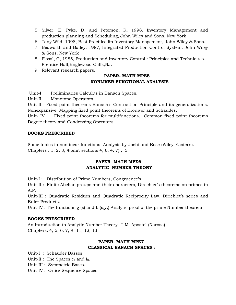- 5. Silver, E, Pyke, D. and Peterson, R, 1998. Inventory Management and production planning and Scheduling, John Wiley and Sons, New York.
- 6. Tony Wild, 1998, Best Practilce lin Inventory Management, John Wiley & Sons.
- 7. Bedworth and Bailey, 1987, Integrated Production Control System, John Wiley & Sons. New York
- 8. Plossl, G, 1985, Production and Inventory Control : Principles and Techniques. Prentice Hall,Englewood Cliffs,NJ.
- 9. Relevant research papers.

## **PAPER- MATH MPE5 NONLINER FUNCTIONAL ANALYSIS**

Unit-I Preliminaries Calculus in Banach Spaces.

Unit-II Monotone Operators.

Unit-III Fixed point theorems Banach"s Contraction Principle and its generalizations. Nonexpansive Mapping fixed point theorems of Brouwer and Schaudes.

Unit- IV Fixed point theorems for multifunctions. Common fixed point theorems Degree theory and Condensing Operators.

#### **BOOKS PRESCRIBED**

Some topics in nonlinear functional Analysis by Joshi and Bose (Wiley-Eastern). Chapters : 1, 2, 3, 4(omit sections 4, 6, 4, 7) , 5.

## **PAPER- MATH MPE6 ANALYTIC NUMBER THEORY**

Unit-I : Distribution of Prime Numbers, Congruence's.

Unit-II : Finite Abelian groups and their characters, Direchlet's theorems on primes in A.P.

Unit-III : Quadratic Residues and Quadratic Reciprocity Law, Dirichlet's series and Euler Products.

Unit-IV : The functions g (s) and L (s,y,) Analytic proof of the prime Number theorem.

#### **BOOKS PRESCRIBED**

An Introduction to Analytic Number Theory- T.M. Apostol (Narosa) Chapters: 4, 5, 6, 7, 9, 11, 12, 13.

## **PAPER- MATH MPE7 CLASSICAL BANACH SPACES** :

Unit-I : Schauder Basses

Unit-II : The Spaces  $c_0$  and  $I_p$ .

Unit-III : Symmetric Bases.

Unit-IV : Orlicz Sequence Spaces.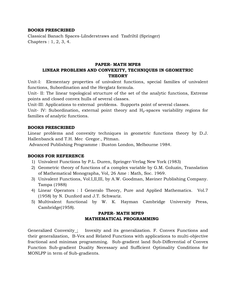#### **BOOKS PRESCRIBED**

Classical Banach Spaces-Lilnderstraws and Tzafriltil (Springer) Chapters : 1, 2, 3, 4.

## **PAPER- MATH MPE8 LINEAR PROBLEMS AND CONVEXITY, TECHNIQUES IN GEOMETRIC THEORY**

Unit-I: Elementary properties of univalent functions, special families of univalent functions, Subordination and the Herglatz formula.

Unit- II: The linear topological structure of the set of the analytic functions, Extreme points and closed convex hulls of several classes.

Unit-III: Applications to external problems. Supports point of several classes.

Unit- IV: Subordination, external point theory and  $H_p$ -spaces variability regions for families of analytic functions.

#### **BOOKS PRESCRIBED**

Linear problems and convexity techniques in geometric functions theory by D.J. Hallenbanck and T.H. Mec Gregor., Pitman.

Advanced Publishing Programme : Buston London, Melbourne 1984.

#### **BOOKS FOR REFERENCE**

- 1) Univalent Functions by P.L. Duren, Springer-Verlag New York (1983)
- 2) Geometric theory of functions of a complex variable by G.M. Goluzin, Translation of Mathematical Monographa, Vol, 26 Ame : Math, Soc. 1969.
- 3) Univalent Functions, Vol.I,II,III, by A.W. Goodman, Maviner Publishing Company. Tampa (1988)
- 4) Linear Operators : I Generalo Theory, Pure and Applied Mathematics. Vol.7 (1958) by N. Dunford and J.T. Schwariz.
- 5) Multivalent functional by W. K. Hayman Cambridge University Press, Cambridge(1958).

## **PAPER- MATH MPE9 MATHEMATICAL PROGRAMMING**

Generalized Convexity : Invexity and its generalization. F. Convex Functions and their generalization, B-Vex and Related Functions with applications to multi-objective fractional and minimax programming. Sub-gradient land Sub-Differential of Convex Function Sub-gradient Duality Necessary and Sufficient Optimality Conditions for MONLPP in term of Sub-gradients.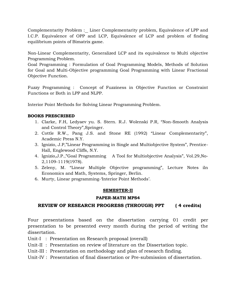Complementarity Problem :\_ Liner Complementarity problem, Equivalence of LPP and I.C.P. Equivalence of OPP and LCP, Equivalence of LCP and problem of finding equilibrium points of Bimatrix game.

Non-Linear Complementarity, Generalized LCP and its equivalence to Multi objective Programming Problem.

Goal Programming : Formulation of Goal Programming Models, Methods of Solution for Goal and Multi-Objective programming Goal Programming with Linear Fractional Objective Function.

Fuzzy Programming : Concept of Fuzziness in Objective Function or Constraint Functions or Both in LPP and NLPP.

Interior Point Methods for Solving Linear Programming Problem.

## **BOOKS PRESCRIBED**

- 1. Clarke, F.H, Ledyaev yu. S. Stern. R.J. Wolenski P.R, "Non-Smooth Analysis and Control Theory",Springer.
- 2. Cottle R.W., Pang J.S. and Stone RE (1992) "Linear Complementarity", Academic Press N.Y.
- 3. Ignizio, J.P,"Linear Programming in Single and Multiobjective System", Prentice-Hall, Englewood Cliffs, N.Y.
- 4. Ignizio,J.P.,"Goal Programming A Tool for Multiobjective Analysis", Vol.29,No-2,1109-1119(1978).
- 5. Zeleny, M. "Linear Multiple Objective programming", Lecture Notes iln Economics and Math, Systems, Springer, Berlin.
- 6. Murty, Linear programming-'Interior Point Methods'.

#### **SEMESTER-II**

## **PAPER-MATH MPS4**

## **REVIEW OF RESEARCH PROGRESS (THROUGH) PPT ( 4 credits)**

Four presentations based on the dissertation carrying 01 credit per presentation to be presented every month during the period of writing the dissertation.

- Unit-I : Presentation on Research proposal (overall)
- Unit-II : Presentation on review of literature on the Dissertation topic.
- Unit-III : Presentation on methodology and plan of research finding.
- Unit-IV : Presentation of final dissertation or Pre-submission of dissertation.